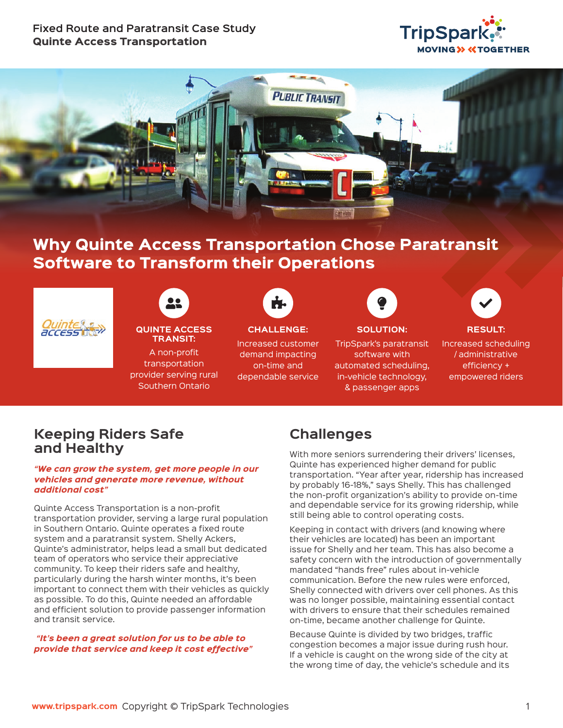### **Fixed Route and Paratransit Case Study**  Quinte Access Transportation





# Why Quinte Access Transportation Chose Paratransit Software to Transform their Operations



### user-friends Puzzle-piece Lightbulb CHECK **QUINTE ACCESS TRANSIT:**

A non-profit transportation provider serving rural Southern Ontario



## **CHALLENGE:**

Increased customer demand impacting on-time and dependable service



### **SOLUTION:**

TripSpark's paratransit software with automated scheduling, in-vehicle technology, & passenger apps



#### **RESULT:**  Increased scheduling / administrative efficiency + empowered riders

### **Keeping Riders Safe and Healthy**

#### *"We can grow the system, get more people in our vehicles and generate more revenue, without additional cost"*

Quinte Access Transportation is a non-profit transportation provider, serving a large rural population in Southern Ontario. Quinte operates a fixed route system and a paratransit system. Shelly Ackers, Quinte's administrator, helps lead a small but dedicated team of operators who service their appreciative community. To keep their riders safe and healthy, particularly during the harsh winter months, it's been important to connect them with their vehicles as quickly as possible. To do this, Quinte needed an affordable and efficient solution to provide passenger information and transit service.

#### *"It's been a great solution for us to be able to provide that service and keep it cost effective"*

# **Challenges**

With more seniors surrendering their drivers' licenses, Quinte has experienced higher demand for public transportation. "Year after year, ridership has increased by probably 16-18%," says Shelly. This has challenged the non-profit organization's ability to provide on-time and dependable service for its growing ridership, while still being able to control operating costs.

Keeping in contact with drivers (and knowing where their vehicles are located) has been an important issue for Shelly and her team. This has also become a safety concern with the introduction of governmentally mandated "hands free" rules about in-vehicle communication. Before the new rules were enforced, Shelly connected with drivers over cell phones. As this was no longer possible, maintaining essential contact with drivers to ensure that their schedules remained on-time, became another challenge for Quinte.

Because Quinte is divided by two bridges, traffic congestion becomes a major issue during rush hour. If a vehicle is caught on the wrong side of the city at the wrong time of day, the vehicle's schedule and its